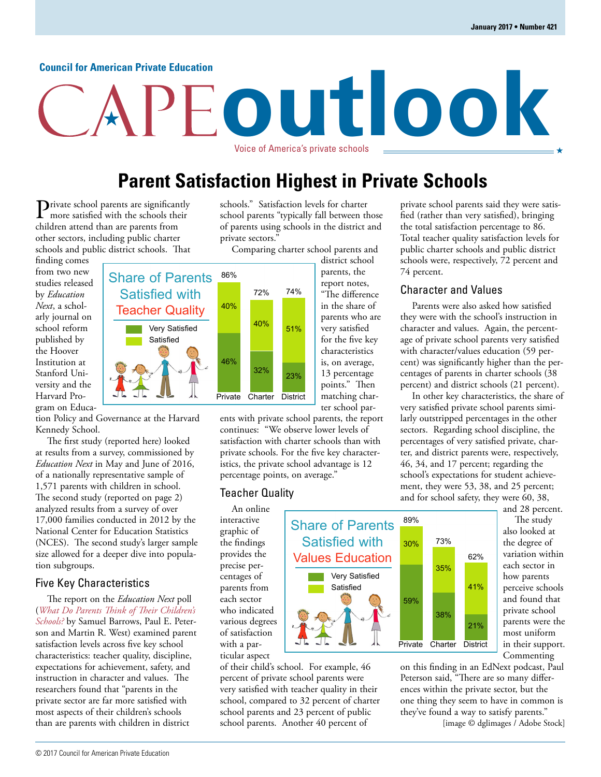#### **Council for American Private Education**

# **outlook** Voice of America's private schools

## **Parent Satisfaction Highest in Private Schools**

Private school parents are significantly more satisfied with the schools their children attend than are parents from other sectors, including public charter schools and public district schools. That

finding comes from two new studies released by *Education Next*, a scholarly journal on school reform published by the Hoover Institution at Stanford University and the Harvard Program on Educa-



The first study (reported here) looked at results from a survey, commissioned by *Education Next* in May and June of 2016, of a nationally representative sample of 1,571 parents with children in school. The second study (reported on page 2) analyzed results from a survey of over 17,000 families conducted in 2012 by the National Center for Education Statistics (NCES). The second study's larger sample size allowed for a deeper dive into population subgroups.

### Five Key Characteristics

The report on the *Education Next* poll (*[What Do Parents Think of Their Children's](http://educationnext.org/what-do-parents-think-of-childrens-schools-ednext-private-district-charter/)  Schools?* by Samuel Barrows, Paul E. Peterson and Martin R. West) examined parent satisfaction levels across five key school characteristics: teacher quality, discipline, expectations for achievement, safety, and instruction in character and values. The researchers found that "parents in the private sector are far more satisfied with most aspects of their children's schools than are parents with children in district

schools." Satisfaction levels for charter school parents "typically fall between those of parents using schools in the district and private sectors."

Comparing charter school parents and

Private Charter District 86% 40% 46% 72% 40%  $32\%$  23% 51% 74% district school parents, the report notes, "The difference in the share of parents who are very satisfied for the five key characteristics is, on average, 13 percentage points." Then matching charter school par-

ents with private school parents, the report continues: "We observe lower levels of satisfaction with charter schools than with private schools. For the five key characteristics, the private school advantage is 12 percentage points, on average."

> Share of Parents Satisfied with Values Education

> > Very Satisfied Satisfied

#### Teacher Quality

An online interactive graphic of the findings provides the precise percentages of parents from each sector who indicated various degrees of satisfaction with a particular aspect

of their child's school. For example, 46 percent of private school parents were very satisfied with teacher quality in their school, compared to 32 percent of charter school parents and 23 percent of public school parents. Another 40 percent of

private school parents said they were satisfied (rather than very satisfied), bringing the total satisfaction percentage to 86. Total teacher quality satisfaction levels for public charter schools and public district schools were, respectively, 72 percent and 74 percent.

#### Character and Values

Parents were also asked how satisfied they were with the school's instruction in character and values. Again, the percentage of private school parents very satisfied with character/values education (59 percent) was significantly higher than the percentages of parents in charter schools (38 percent) and district schools (21 percent).

In other key characteristics, the share of very satisfied private school parents similarly outstripped percentages in the other sectors. Regarding school discipline, the percentages of very satisfied private, charter, and district parents were, respectively, 46, 34, and 17 percent; regarding the school's expectations for student achievement, they were 53, 38, and 25 percent; and for school safety, they were 60, 38,

> and 28 percent. The study also looked at the degree of variation within each sector in how parents perceive schools and found that private school parents were the most uniform in their support. Commenting

on this finding in an EdNext podcast, Paul Peterson said, "There are so many differences within the private sector, but the one thing they seem to have in common is they've found a way to satisfy parents." [image © dglimages / Adobe Stock]

21%

41%

62%

Private Charter District

38%

73%

35%

89%

30%

59%

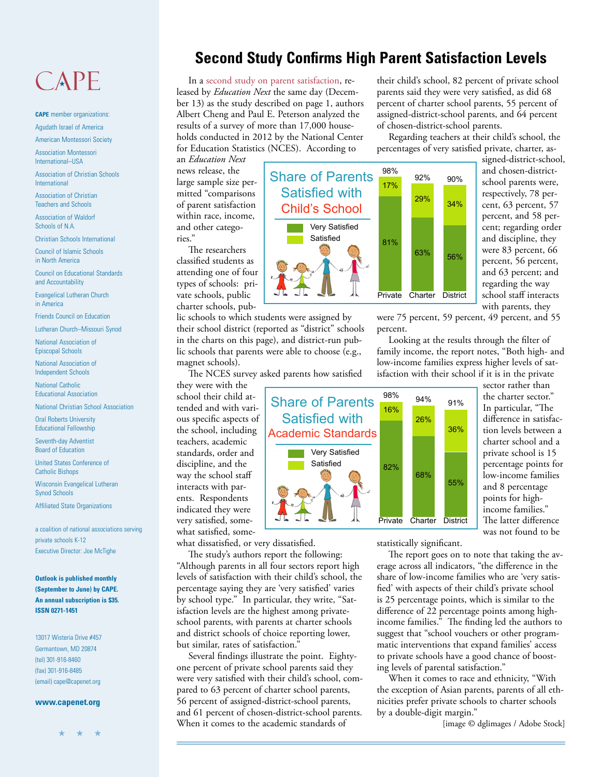## $CAPF$

**CAPE** member organizations: Agudath Israel of America

American Montessori Society

Association Montessori International–USA

Association of Christian Schools International

Association of Christian Teachers and Schools

Association of Waldorf Schools of N.A.

Christian Schools International

Council of Islamic Schools in North America

Council on Educational Standards and Accountability

Evangelical Lutheran Church in America

Friends Council on Education

Lutheran Church–Missouri Synod

National Association of Episcopal Schools

National Association of Independent Schools

National Catholic Educational Association

National Christian School Association

Oral Roberts University Educational Fellowship

Seventh-day Adventist Board of Education

United States Conference of Catholic Bishops

Wisconsin Evangelical Lutheran Synod Schools

Affiliated State Organizations

a coalition of national associations serving private schools K-12 Executive Director: Joe McTighe

**Outlook is published monthly (September to June) by CAPE. An annual subscription is \$35. ISSN 0271-1451**

13017 Wisteria Drive #457 Germantown, MD 20874 (tel) 301-916-8460 (fax) 301-916-8485 (email) cape@capenet.org

#### **www.capenet.org**

★ ★ ★

## **Second Study Confirms High Parent Satisfaction Levels**

In [a second study on parent satisfaction,](http://educationnext.org/how-satisfied-are-parents-with-childrens-schools-us-dept-ed-survey/) released by *Education Next* the same day (December 13) as the study described on page 1, authors Albert Cheng and Paul E. Peterson analyzed the results of a survey of more than 17,000 households conducted in 2012 by the National Center for Education Statistics (NCES). According to

an *Education Next* news release, the large sample size permitted "comparisons of parent satisfaction within race, income, and other categories."

The researchers classified students as attending one of four types of schools: private schools, public charter schools, pub-

lic schools to which students were assigned by their school district (reported as "district" schools in the charts on this page), and district-run public schools that parents were able to choose (e.g., magnet schools).

The NCES survey asked parents how satisfied

they were with the school their child attended and with various specific aspects of the school, including teachers, academic standards, order and discipline, and the way the school staff interacts with parents. Respondents indicated they were very satisfied, somewhat satisfied, some-

what dissatisfied, or very dissatisfied.

The study's authors report the following: "Although parents in all four sectors report high levels of satisfaction with their child's school, the percentage saying they are 'very satisfied' varies by school type." In particular, they write, "Satisfaction levels are the highest among privateschool parents, with parents at charter schools and district schools of choice reporting lower, but similar, rates of satisfaction."

Several findings illustrate the point. Eightyone percent of private school parents said they were very satisfied with their child's school, compared to 63 percent of charter school parents, 56 percent of assigned-district-school parents, and 61 percent of chosen-district-school parents. When it comes to the academic standards of

their child's school, 82 percent of private school parents said they were very satisfied, as did 68 percent of charter school parents, 55 percent of assigned-district-school parents, and 64 percent of chosen-district-school parents.

Regarding teachers at their child's school, the percentages of very satisfied private, charter, as-

Share of Parents Private Charter District 98% 17% 81% 92% 29% 63% 56% 34% 90%

signed-district-school, and chosen-districtschool parents were, respectively, 78 percent, 63 percent, 57 percent, and 58 percent; regarding order and discipline, they were 83 percent, 66 percent, 56 percent, and 63 percent; and regarding the way school staff interacts with parents, they

were 75 percent, 59 percent, 49 percent, and 55 percent.

Looking at the results through the filter of family income, the report notes, "Both high- and low-income families express higher levels of satisfaction with their school if it is in the private



sector rather than the charter sector." In particular, "The difference in satisfaction levels between a charter school and a private school is 15 percentage points for low-income families and 8 percentage points for highincome families." The latter difference was not found to be

statistically significant.

The report goes on to note that taking the average across all indicators, "the difference in the share of low-income families who are 'very satisfied' with aspects of their child's private school is 25 percentage points, which is similar to the difference of 22 percentage points among highincome families." The finding led the authors to suggest that "school vouchers or other programmatic interventions that expand families' access to private schools have a good chance of boosting levels of parental satisfaction."

When it comes to race and ethnicity, "With the exception of Asian parents, parents of all ethnicities prefer private schools to charter schools by a double-digit margin."

[image © dglimages / Adobe Stock]

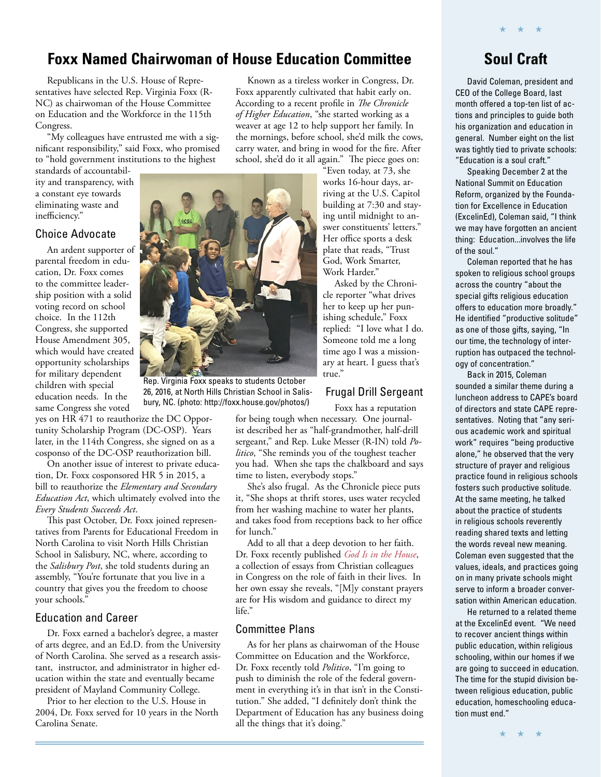## **Foxx Named Chairwoman of House Education Committee**

Republicans in the U.S. House of Representatives have selected Rep. Virginia Foxx (R-NC) as chairwoman of the House Committee on Education and the Workforce in the 115th Congress.

"My colleagues have entrusted me with a significant responsibility," said Foxx, who promised to "hold government institutions to the highest

standards of accountability and transparency, with a constant eye towards eliminating waste and inefficiency."

### Choice Advocate

An ardent supporter of parental freedom in education, Dr. Foxx comes to the committee leadership position with a solid voting record on school choice. In the 112th Congress, she supported House Amendment 305, which would have created opportunity scholarships for military dependent children with special education needs. In the same Congress she voted

yes on HR 471 to reauthorize the DC Opportunity Scholarship Program (DC-OSP). Years later, in the 114th Congress, she signed on as a cosponso of the DC-OSP reauthorization bill.

On another issue of interest to private education, Dr. Foxx cosponsored HR 5 in 2015, a bill to reauthorize the *Elementary and Secondary Education Act*, which ultimately evolved into the *Every Students Succeeds Act*.

This past October, Dr. Foxx joined representatives from Parents for Educational Freedom in North Carolina to visit North Hills Christian School in Salisbury, NC, where, according to the *Salisbury Post*, she told students during an assembly, "You're fortunate that you live in a country that gives you the freedom to choose your schools."

### Education and Career

Dr. Foxx earned a bachelor's degree, a master of arts degree, and an Ed.D. from the University of North Carolina. She served as a research assistant, instructor, and administrator in higher education within the state and eventually became president of Mayland Community College.

Prior to her election to the U.S. House in 2004, Dr. Foxx served for 10 years in the North Carolina Senate.

Known as a tireless worker in Congress, Dr. Foxx apparently cultivated that habit early on. According to a recent profile in *The Chronicle of Higher Education*, "she started working as a weaver at age 12 to help support her family. In the mornings, before school, she'd milk the cows, carry water, and bring in wood for the fire. After school, she'd do it all again." The piece goes on:

"Even today, at 73, she works 16-hour days, arriving at the U.S. Capitol building at 7:30 and staying until midnight to answer constituents' letters." Her office sports a desk plate that reads, "Trust God, Work Smarter, Work Harder."

Asked by the Chronicle reporter "what drives her to keep up her punishing schedule," Foxx replied: "I love what I do. Someone told me a long time ago I was a missionary at heart. I guess that's true."

## Frugal Drill Sergeant

Foxx has a reputation for being tough when necessary. One journalist described her as "half-grandmother, half-drill sergeant," and Rep. Luke Messer (R-IN) told *Politico*, "She reminds you of the toughest teacher you had. When she taps the chalkboard and says time to listen, everybody stops."

She's also frugal. As the Chronicle piece puts it, "She shops at thrift stores, uses water recycled from her washing machine to water her plants, and takes food from receptions back to her office for lunch."

Add to all that a deep devotion to her faith. Dr. Foxx recently published *[God Is in the House](https://www.amazon.com/God-House-Congressional-Testimonies-Faith/dp/1629722375/ref=sr_1_1?ie=UTF8&qid=1483037839&sr=8-1&keywords=God+is+in+the+House)*, a collection of essays from Christian colleagues in Congress on the role of faith in their lives. In her own essay she reveals, "[M]y constant prayers are for His wisdom and guidance to direct my life."

## Committee Plans

As for her plans as chairwoman of the House Committee on Education and the Workforce, Dr. Foxx recently told *Politico*, "I'm going to push to diminish the role of the federal government in everything it's in that isn't in the Constitution." She added, "I definitely don't think the Department of Education has any business doing all the things that it's doing."

## **Soul Craft**

★ ★ ★

David Coleman, president and CEO of the College Board, last month offered a top-ten list of actions and principles to guide both his organization and education in general. Number eight on the list was tightly tied to private schools: "Education is a soul craft."

Speaking December 2 at the National Summit on Education Reform, organized by the Foundation for Excellence in Education (ExcelinEd), Coleman said, "I think we may have forgotten an ancient thing: Education...involves the life of the soul."

Coleman reported that he has spoken to religious school groups across the country "about the special gifts religious education offers to education more broadly." He identified "productive solitude" as one of those gifts, saying, "In our time, the technology of interruption has outpaced the technology of concentration."

Back in 2015, Coleman sounded a similar theme during a luncheon address to CAPE's board of directors and state CAPE representatives. Noting that "any serious academic work and spiritual work" requires "being productive alone," he observed that the very structure of prayer and religious practice found in religious schools fosters such productive solitude. At the same meeting, he talked about the practice of students in religious schools reverently reading shared texts and letting the words reveal new meaning. Coleman even suggested that the values, ideals, and practices going on in many private schools might serve to inform a broader conversation within American education.

He returned to a related theme at the ExcelinEd event. "We need to recover ancient things within public education, within religious schooling, within our homes if we are going to succeed in education. The time for the stupid division between religious education, public education, homeschooling education must end."

★ ★ ★



Rep. Virginia Foxx speaks to students October 26, 2016, at North Hills Christian School in Salisbury, NC. (photo: http://foxx.house.gov/photos/)